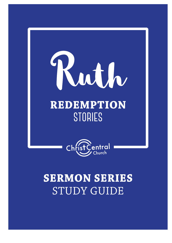



# **SERMON SERIES STUDY GUIDE**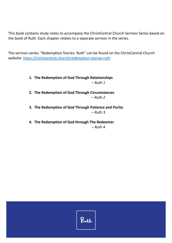This book contains study notes to accompany the ChristCentral Church Sermon Series based on the book of Ruth. Each chapter relates to a separate sermon in the series.

The sermon series: "Redemption Stories: Ruth" can be found on the ChristCentral Church website:<https://christcentral.church/redemption-stories-ruth>

> **1. The Redemption of God Through Relationships**  *– Ruth 1*

**2. The Redemption of God Through Circumstances**  *– Ruth 2*

**3. The Redemption of God Through Patience and Purity** *– Ruth 3*

**4. The Redemption of God through The Redeemer**  *– Ruth 4*

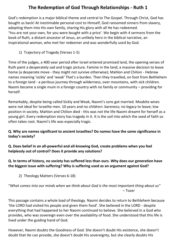# **The Redemption of God Through Relationships - Ruth 1**

God's redemption is a major biblical theme and central to The Gospel. Through Christ, God has bought us back! At inestimable personal cost to Himself, God ransomed sinners from slavery, adopting them into His own family, sharing His glory with all He has redeemed. 'You are not your own, for you were bought with a price'. We begin with 4 sermons from the book of Ruth, a distant ancestor of Jesus, an unlikely hero in the biblical narrative, an inspirational woman, who met her redeemer and was wonderfully used by God.

1) Trajectory of Tragedy (Verses 1-5)

Time of the judges, a 400-year period after Israel entered promised land, the opening verses of Ruth paint a desperately sad and tragic picture. Famine in the land; a massive decision to leave home (a desperate move - they might not survive otherwise); Mahlon and Chilion - Hebrew names meaning 'sickly' and 'weak' That's a burden. Then they travelled, on foot from Bethlehem to a foreign land - a perilous journey through wilderness, over mountains, with sick children. Naomi became a single mum in a foreign country with no family or community – providing for herself.

Remarkably, despite being called Sickly and Weak, Naomi's sons got married. Moabite wives were not ideal for Israelite men. 10 years and no children: bareness; no legacy to leave; low position in society. Mahlon and Chilion died - this was not the life Naomi dreamt for herself as a young girl. Every redemption story has tragedy in it. It is the soil into which the seed of faith so often takes root. Naomi's life was especially tragic.

## **Q. Why are names significant to ancient Israelites? Do names have the same significance in today's society?**

**Q. Does belief in an all-powerful and all-knowing God, create problems when you feel helplessly out of control? Does it provide any solutions?**

# **Q. In terms of history, no society has suffered less than ours. Why does our generation have the biggest issue with suffering? Why is suffering used as an argument against God?**

2) Theology Matters (Verses 6-18)

## "*What comes into our minds when we think about God is the most important thing about us*" – Tozer

This passage contains a whole load of theology. Naomi decides to return to Bethlehem because 'the LORD had visited his people and given them food'. She believed in the LORD - despite everything that had happened to her Naomi continued to believe. She believed in a God who provides, who was sovereign even over the availability of food. She understood that this life is lived under the guiding hand of God.

However, Naomi doubts the Goodness of God. She doesn't doubt His existence, she doesn't doubt that He can provide, she doesn't doubt His sovereignty, but she clearly doubts His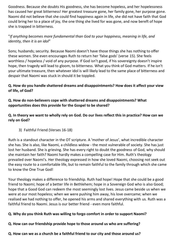Goodness. Because she doubts His goodness, she has become hopeless, and her hopelessness has caused her great bitterness! Her greatest treasure gone, her family gone, her purpose gone. Naomi did not believe that she could find happiness again in life, she did not have faith that God could bring her to a place of joy, the one thing she lived for was gone, and now bereft of hope she is trapped in bitterness.

## "*If anything becomes more fundamental than God to your happiness, meaning in life, and identity, then it is an idol*"

Sons; husbands; security. Because Naomi doesn't have those things she has nothing to offer these women. She even encourages Ruth to return her 'false gods' (verse 15). She feels worthless / hopeless / void of any purpose. If God isn't good, if his sovereignty doesn't inspire hope, then tragedy will lead to gloom, to bitterness. What you think of God matters. If he isn't your ultimate treasure, then whatever idol is will likely lead to the same place of bitterness and despair that Naomi was stuck in should it be toppled.

## **Q. How do you handle shattered dreams and disappointments? How does it affect your view of life, of God?**

#### **Q. How do non-believers cope with shattered dreams and disappointments? What opportunities does this provide for the Gospel to be shared?**

**Q. In theory we want to wholly rely on God. Do our lives reflect this in practice? How can we rely on God?** 

3) Faithful Friend (Verses 16-18)

Ruth is a standout character in the OT scripture. A 'mother of Jesus', what incredible character she has. She is also, like Naomi, a childless widow - the most vulnerable of society. She has just lost her husband. She is grieving. She has every right to doubt the goodness of God, why should she maintain her faith? Naomi hardly makes a compelling case for Him. Ruth's theology prevailed over Naomi's. Her theology expressed in how she loved Naomi, choosing not seek out the easy route to a comfortable life, but to remain faithful to the family through which she came to know the One True God!

Your theology makes a difference to friendship. Ruth had hope! Hope that she could be a good friend to Naomi; hope of a better life in Bethlehem; hope in a Sovereign God who is also Good; hope that a Good God can redeem the most seemingly lost lives. Jesus came beside us when we were at our most hopeless; when we were pushing him away, his love overcame; when we realised we had nothing to offer, he opened his arms and shared everything with us. Ruth was a faithful friend to Naomi. Jesus is our better friend - even more faithful.

#### **Q. Why do you think Ruth was willing to forgo comfort in order to support Naomi?**

**Q. How can our friendship provide hope to those around us who are suffering?**

#### **Q. How can we as a church be a faithful friend to our city and those around us?**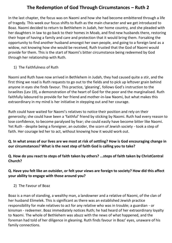# **The Redemption of God Through Circumstances – Ruth 2**

In the last chapter, the focus was on Naomi and how she had become embittered through a life of tragedy. This week our focus shifts to Ruth as the main character and we get introduced to Boaz. Naomi decided to return to Bethlehem in Judah, her home country, and she pleaded with her daughters in law to go back to their homes in Moab, and find new husbands there, restoring their hope of having a family and care and protection that it would bring them. Forsaking the opportunity to find another husband amongst her own people, and going to a foreign land as a widow, not knowing how she would be received, Ruth trusted that the God of Naomi would provide for them. This is the start of Naomi's bitter circumstance being redeemed by God through her relationship with Ruth.

1) The Faithfulness of Ruth

Naomi and Ruth have now arrived in Bethlehem in Judah, they had caused quite a stir, and the first thing we read is Ruth requests to go out to the fields and to pick up leftover grain behind anyone in eyes she finds favour. This practice, 'gleaning', follows God's instruction to the Israelites (Lev 19), a demonstration of the heart of God for the poor and the marginalised. Ruth faithfully laboured to provide for her friend and mother-in-law Naomi, but what makes this extraordinary in my mind is her initiative in stepping out and her courage.

Ruth could have waited for Naomi's relatives to notice their position and rely on their generosity; she could have been a 'faithful' friend by sticking by Naomi. Ruth had every reason to lose confidence, to become paralysed by fear; she could easily have become bitter like Naomi. Yet Ruth - despite being a foreigner, an outsider, the scorn of Jewish society - took a step of faith. Her courage led her to act, without knowing how it would work out.

## **Q. In what areas of our lives are we most at risk of settling? How is God encouraging change in our circumstances? What is the next step of faith God is calling you to take?**

**Q. How do you react to steps of faith taken by others? ...steps of faith taken by ChristCentral Church?**

#### **Q. Have you felt like an outsider, or felt your views are foreign to society? How did this affect your ability to engage with those around you?**

2) The Favour of Boaz

Boaz is a man of standing, a wealthy man, a landowner and a relative of Naomi, of the clan of her husband Elimelek. This is significant as there was an established Jewish practice responsibility for male relatives to act for any relative who was in trouble; a guardian - or kinsman - redeemer. Boaz immediately notices Ruth; he had heard of her extraordinary loyalty to Naomi. The whole of Bethlehem was abuzz with the news of what happened, and the foreman had told of her diligence in gleaning. Ruth finds favour in Boaz' eyes, unaware of his family connections.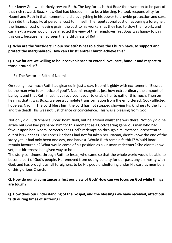Boaz knew God would richly reward Ruth. The key for us is that Boaz then went on to be part of that rich reward. Boaz knew God had blessed him to be a blessing. He took responsibility for Naomi and Ruth in that moment and did everything in his power to provide protection and care. Boaz did this happily, at personal cost to himself. The reputational cost of favouring a foreigner; the financial cost of leaving grain; the cost to his workers, as they had to slow their work, and carry extra water would have affected the view of their employer. Yet Boaz was happy to pay this cost, because he had seen the faithfulness of Ruth.

## **Q. Who are the 'outsiders' in our society? What role does the Church have, to support and protect the marginalized? How can ChristCentral Church achieve this?**

## **Q. How far are we willing to be inconvenienced to extend love, care, honour and respect to those around us?**

3) The Restored Faith of Naomi

On seeing how much Ruth had gleaned in just a day, Naomi is giddy with excitement, "Blessed be the man who took notice of you!". Naomi recognises just how extraordinary the amount of barley is and that Ruth must have received favour to enable her to gather this much. Then on hearing that it was Boaz, we see a complete transformation from the embittered, God- afflicted, hopeless Naomi. The Lord bless him; the Lord has not stopped showing His kindness to the living and the dead! This was not just chance or coincidence. This was a blessing from God.

Not only did Ruth 'chance upon' Boaz' field, but he arrived whilst she was there. Not only did he arrive but God had prepared him for this moment as a God-fearing generous man who had favour upon her. Naomi correctly sees God's redemption through circumstance, orchestrated out of his kindness. The Lord's kindness had not forsaken her. Naomi, didn't know the end of the story yet, it had only been one day, one harvest. Would Ruth remain faithful? Would Boaz remain favourable? What would come of his position as a kinsman redeemer? She didn't know yet, but bitterness had given way to hope.

The story continues, through Ruth to Jesus, who came so that the whole world would be able to become part of God's people. He removed from us any penalty for our past, any animosity with God, and has brought us, all foreigners, to be His people, sheltering under His care as members of this glorious Church.

## **Q. How do our circumstances affect our view of God? How can we focus on God while things are tough?**

**Q. How does our understanding of the Gospel, and the blessings we have received, affect our faith during times of suffering?**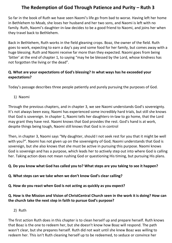# **The Redemption of God Through Patience and Purity – Ruth 3**

So far in the book of Ruth we have seen Naomi's life go from bad to worse. Having left her home in Bethlehem to Moab, she loses her husband and her two sons, and Naomi is left with no family. Ruth, Naomi's daughter-in-law decides to be a good friend to Naomi, and joins her when they travel back to Bethlehem.

Back in Bethlehem, Ruth works in the field gleaning crops. Boaz, the owner of the field. Ruth goes to work, expecting to earn a day's pay and some food for her family, but comes away with a huge blessing. Ruth and Naomi receive far more than they expected. Naomi goes from being 'bitter' at the end of chapter 1, to saying "may he be blessed by the Lord, whose kindness has not forgotten the living or the dead".

## **Q. What are your expectations of God's blessing? In what ways has he exceeded your expectations?**

Today's passage describes three people patiently and purely pursuing the purposes of God.

1) Naomi

Through the previous chapters, and in chapter 3, we see Naomi understands God's sovereignty. It's not always been easy, Naomi has experienced some incredibly hard trials, but still she knows that God is sovereign. In chapter 1, Naomi tells her daughters-in-law to go home, that the Lord may grant they have rest. Naomi knows that God provides the rest. God's hand is at work, despite things being tough, Naomi still knows that God is in control

Then, in chapter 3, Naomi says "My daughter, should I not seek rest for you that it might be well with you?". Naomi has not given up on the sovereignty of God; Naomi understands that God is sovereign, but she also knows that she must be active in pursuing this purpose. Naomi knows God is sovereign and has a purpose, which leads her to actively step out into where God is calling her. Taking action does not mean rushing God or questioning His timing, but pursuing His plans.

# **Q. Do you know what God has called you to? What steps are you taking to see it happen?**

#### **Q. What steps can we take when we don't know God's clear calling?**

**Q. How do you react when God is not acting as quickly as you expect?**

# **Q. How is the Mission and Vision of ChristCentral Church seen in the work it is doing? How can the church take the next step in faith to pursue God's purpose?**

2) Ruth

The first action Ruth does in this chapter is to clean herself up and prepare herself. Ruth knows that Boaz is the one to redeem her, but she doesn't know how Boaz will respond. The path wasn't clear, but she prepares herself. Ruth did not wait until she knew Boaz was willing to redeem her. This isn't Ruth cleaning herself up to be redeemed, to seduce or convince her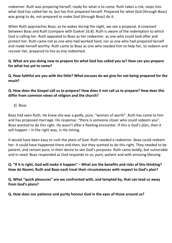redeemer. Ruth was preparing herself, ready for what is to come. Ruth takes a risk, steps into what God has called her to, but has first prepared herself. Prepared for what God (through Boaz) was going to do, not prepared to make God (through Boaz) do it.

When Ruth approaches Boaz, as he wakes during the night, we see a proposal. A covenant between Boaz and Ruth (compare with Ezekiel 16:8). Ruth is aware of the redemption to which God is calling her. Ruth appealed to Boaz as her redeemer, as one who could look after and protect her. Ruth came not as one who had worked hard, nor as one who had prepared herself and made herself worthy. Ruth came to Boaz as one who needed him to help her, to redeem and recover her, prepared to live as one redeemed.

#### **Q. What are you doing now to prepare for what God has called you to? How can you prepare for what has yet to come?**

**Q. How faithful are you with the little? What excuses do we give for not being prepared for the much?**

**Q. How does the Gospel call us to prepare? How does it not call us to prepare? How does this differ from common views of religion and the church?** 

3) Boaz

Boaz had seen Ruth. He knew she was a godly, pure, "woman of worth". Ruth has come to him and has proposed marriage. His response: "there is someone closer who could redeem you". Boaz wanted to do this right. He wasn't after a fleeting encounter. If this is God's plan, then it will happen  $-$  in the right way, in His timing.

It would have been easy to rush the plans of God. Ruth needed a redeemer. Boaz could redeem her. It could have happened there and then, but they wanted to do this right. They needed to be patient, and remain pure, in their desire to see God's purposes. Ruth came boldly, but vulnerable and in need. Boaz responded as God responds to us; pure, patient and with amazing blessing.

**Q. "If it is right, God will make it happen" – What are the benefits and risks of this thinking? How do Naomi, Ruth and Boaz each treat their circumstances with respect to God's plan?**

**Q. What "quick pleasures" are we confronted with, and tempted by, that can lead us away from God's plans?**

**Q. How does our patience and purity honour God in the eyes of those around us?**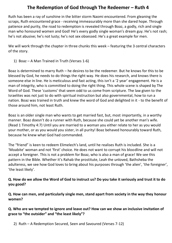# **The Redemption of God through The Redeemer – Ruth 4**

Ruth has been a ray of sunshine in the bitter storm Naomi encountered. From gleaning the scraps, Ruth encountered grace - receiving immeasurably more than she dared hope. Through patience and purity, the road to redemption is revealed through Boaz, a godly, rich and single man who honoured women and God! He's every godly single woman's dream guy. He's not rash; he's not abusive; he's not lusty; he's not sex obsessed. He's a great example for men.

We will work through the chapter in three chunks this week – featuring the 3 central characters of the story.

1) Boaz – A Man Trained in Truth (Verses 1-6)

Boaz is determined to marry Ruth – he desires to be the redeemer. But he knows for this to be blessed by God, he needs to do things the right way. He does his research, and knows there is someone else in line. He is meticulous and fast acting, this isn't a '2 year' engagement. He is a man of integrity, who is committed to doing the right thing. This whole scene is shaped by The Word of God. These 'customs' that seem odd to us come from scripture. The law given to the Israelites was not just to do with spiritual instruction but also governmental, how to run a nation. Boaz was trained in truth and knew the word of God and delighted in it - to the benefit of those around him, not least Ruth.

Boaz is an older single man who wants to get married fast, but, most importantly, in a worthy manner. Boaz doesn't do a runner with Ruth, because she could yet be another man's wife. (Read 1 Timothy 4:7) Until you are married to a woman you either relate to her as you would your mother, or as you would you sister, in all purity! Boaz behaved honourably toward Ruth, because he knew what God had commanded.

The "friend" is keen to redeem Elimelech's land, until he realises Ruth is included. She is a 'Moabite' woman and not 'first' choice. He does not want to corrupt his bloodline and will not accept a foreigner. This is not a problem for Boaz, who is also a man of grace! We see this pattern in the Bible. Whether it's Rahab the prostitute, Leah the unloved, Bathsheba the adulteress, we see how God loves to bring about his purposes through 'the alien', 'the foreigner', 'the least likely'.

## **Q. How do we allow the Word of God to instruct us? Do you take it seriously and trust it to do you good?**

**Q. How can men, and particularly single men, stand apart from society in the way they honour women?**

#### **Q. Who are we tempted to ignore and leave out? How can we show an inclusive invitation of grace to "the outsider" and "the least likely"?**

2) Ruth – A Redemption Secured, Seen and Savoured (Verses 7-12)